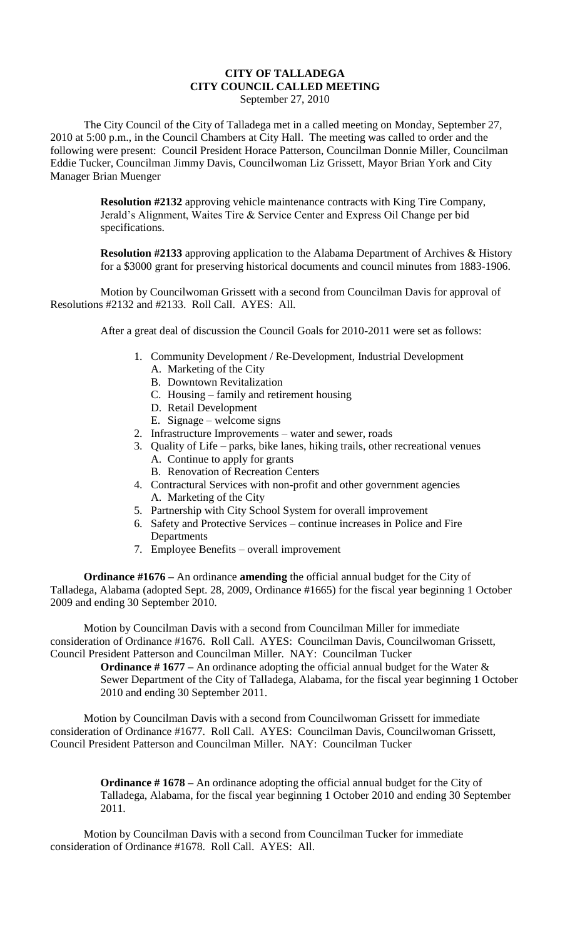## **CITY OF TALLADEGA CITY COUNCIL CALLED MEETING**

September 27, 2010

The City Council of the City of Talladega met in a called meeting on Monday, September 27, 2010 at 5:00 p.m., in the Council Chambers at City Hall. The meeting was called to order and the following were present: Council President Horace Patterson, Councilman Donnie Miller, Councilman Eddie Tucker, Councilman Jimmy Davis, Councilwoman Liz Grissett, Mayor Brian York and City Manager Brian Muenger

> **Resolution #2132** approving vehicle maintenance contracts with King Tire Company, Jerald's Alignment, Waites Tire & Service Center and Express Oil Change per bid specifications.

**Resolution #2133** approving application to the Alabama Department of Archives & History for a \$3000 grant for preserving historical documents and council minutes from 1883-1906.

Motion by Councilwoman Grissett with a second from Councilman Davis for approval of Resolutions #2132 and #2133. Roll Call. AYES: All.

After a great deal of discussion the Council Goals for 2010-2011 were set as follows:

- 1. Community Development / Re-Development, Industrial Development
	- A. Marketing of the City
	- B. Downtown Revitalization
	- C. Housing family and retirement housing
	- D. Retail Development
	- E. Signage welcome signs
- 2. Infrastructure Improvements water and sewer, roads
- 3. Quality of Life parks, bike lanes, hiking trails, other recreational venues A. Continue to apply for grants
	- B. Renovation of Recreation Centers
- 4. Contractural Services with non-profit and other government agencies A. Marketing of the City
- 5. Partnership with City School System for overall improvement
- 6. Safety and Protective Services continue increases in Police and Fire **Departments**
- 7. Employee Benefits overall improvement

**Ordinance #1676 –** An ordinance **amending** the official annual budget for the City of Talladega, Alabama (adopted Sept. 28, 2009, Ordinance #1665) for the fiscal year beginning 1 October 2009 and ending 30 September 2010.

Motion by Councilman Davis with a second from Councilman Miller for immediate consideration of Ordinance #1676. Roll Call. AYES: Councilman Davis, Councilwoman Grissett, Council President Patterson and Councilman Miller. NAY: Councilman Tucker

**Ordinance #1677** – An ordinance adopting the official annual budget for the Water & Sewer Department of the City of Talladega, Alabama, for the fiscal year beginning 1 October 2010 and ending 30 September 2011.

Motion by Councilman Davis with a second from Councilwoman Grissett for immediate consideration of Ordinance #1677. Roll Call. AYES: Councilman Davis, Councilwoman Grissett, Council President Patterson and Councilman Miller. NAY: Councilman Tucker

> **Ordinance #1678** – An ordinance adopting the official annual budget for the City of Talladega, Alabama, for the fiscal year beginning 1 October 2010 and ending 30 September 2011.

Motion by Councilman Davis with a second from Councilman Tucker for immediate consideration of Ordinance #1678. Roll Call. AYES: All.